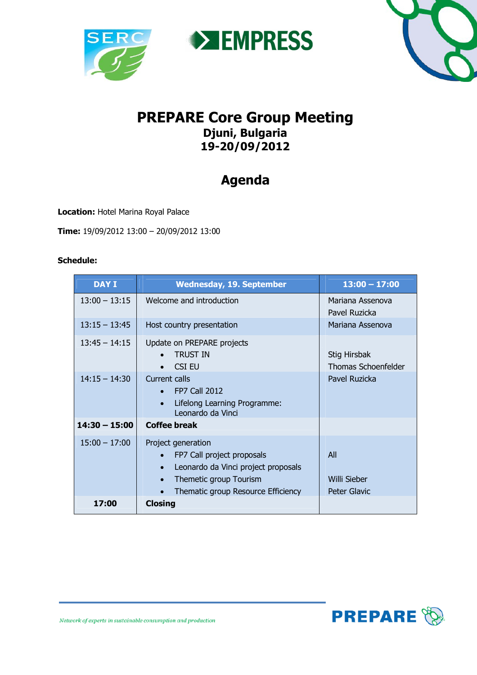





## **PREPARE Core Group Meeting Djuni, Bulgaria 19-20/09/2012**

## **Agenda**

**Location:** Hotel Marina Royal Palace

**Time:** 19/09/2012 13:00 – 20/09/2012 13:00

## **Schedule:**

| <b>DAY I</b>    | <b>Wednesday, 19. September</b>                                                                                                                                      | $13:00 - 17:00$                            |
|-----------------|----------------------------------------------------------------------------------------------------------------------------------------------------------------------|--------------------------------------------|
| $13:00 - 13:15$ | Welcome and introduction                                                                                                                                             | Mariana Assenova<br>Pavel Ruzicka          |
| $13:15 - 13:45$ | Host country presentation                                                                                                                                            | Mariana Assenova                           |
| $13:45 - 14:15$ | Update on PREPARE projects<br><b>TRUST IN</b><br>CSI EU                                                                                                              | Stig Hirsbak<br><b>Thomas Schoenfelder</b> |
| $14:15 - 14:30$ | <b>Current calls</b><br>$\bullet$ FP7 Call 2012<br>Lifelong Learning Programme:<br>Leonardo da Vinci                                                                 | Pavel Ruzicka                              |
| $14:30 - 15:00$ | <b>Coffee break</b>                                                                                                                                                  |                                            |
| $15:00 - 17:00$ | Project generation<br>FP7 Call project proposals<br>Leonardo da Vinci project proposals<br>$\bullet$<br>Themetic group Tourism<br>Thematic group Resource Efficiency | All<br>Willi Sieber<br><b>Peter Glavic</b> |
| 17:00           | <b>Closing</b>                                                                                                                                                       |                                            |